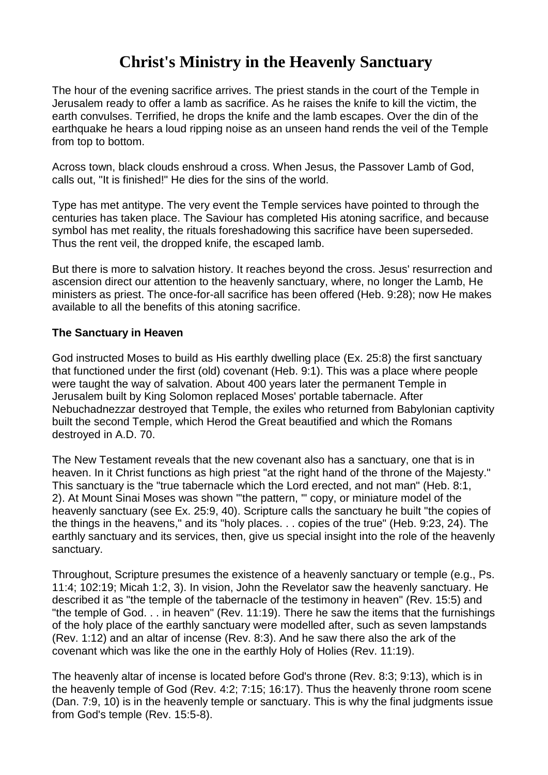# **Christ's Ministry in the Heavenly Sanctuary**

The hour of the evening sacrifice arrives. The priest stands in the court of the Temple in Jerusalem ready to offer a lamb as sacrifice. As he raises the knife to kill the victim, the earth convulses. Terrified, he drops the knife and the lamb escapes. Over the din of the earthquake he hears a loud ripping noise as an unseen hand rends the veil of the Temple from top to bottom.

Across town, black clouds enshroud a cross. When Jesus, the Passover Lamb of God, calls out, "It is finished!" He dies for the sins of the world.

Type has met antitype. The very event the Temple services have pointed to through the centuries has taken place. The Saviour has completed His atoning sacrifice, and because symbol has met reality, the rituals foreshadowing this sacrifice have been superseded. Thus the rent veil, the dropped knife, the escaped lamb.

But there is more to salvation history. It reaches beyond the cross. Jesus' resurrection and ascension direct our attention to the heavenly sanctuary, where, no longer the Lamb, He ministers as priest. The once-for-all sacrifice has been offered (Heb. 9:28); now He makes available to all the benefits of this atoning sacrifice.

### **The Sanctuary in Heaven**

God instructed Moses to build as His earthly dwelling place (Ex. 25:8) the first sanctuary that functioned under the first (old) covenant (Heb. 9:1). This was a place where people were taught the way of salvation. About 400 years later the permanent Temple in Jerusalem built by King Solomon replaced Moses' portable tabernacle. After Nebuchadnezzar destroyed that Temple, the exiles who returned from Babylonian captivity built the second Temple, which Herod the Great beautified and which the Romans destroyed in A.D. 70.

The New Testament reveals that the new covenant also has a sanctuary, one that is in heaven. In it Christ functions as high priest "at the right hand of the throne of the Majesty." This sanctuary is the "true tabernacle which the Lord erected, and not man" (Heb. 8:1, 2). At Mount Sinai Moses was shown "'the pattern, '" copy, or miniature model of the heavenly sanctuary (see Ex. 25:9, 40). Scripture calls the sanctuary he built "the copies of the things in the heavens," and its "holy places. . . copies of the true" (Heb. 9:23, 24). The earthly sanctuary and its services, then, give us special insight into the role of the heavenly sanctuary.

Throughout, Scripture presumes the existence of a heavenly sanctuary or temple (e.g., Ps. 11:4; 102:19; Micah 1:2, 3). In vision, John the Revelator saw the heavenly sanctuary. He described it as "the temple of the tabernacle of the testimony in heaven" (Rev. 15:5) and "the temple of God. . . in heaven" (Rev. 11:19). There he saw the items that the furnishings of the holy place of the earthly sanctuary were modelled after, such as seven lampstands (Rev. 1:12) and an altar of incense (Rev. 8:3). And he saw there also the ark of the covenant which was like the one in the earthly Holy of Holies (Rev. 11:19).

The heavenly altar of incense is located before God's throne (Rev. 8:3; 9:13), which is in the heavenly temple of God (Rev. 4:2; 7:15; 16:17). Thus the heavenly throne room scene (Dan. 7:9, 10) is in the heavenly temple or sanctuary. This is why the final judgments issue from God's temple (Rev. 15:5-8).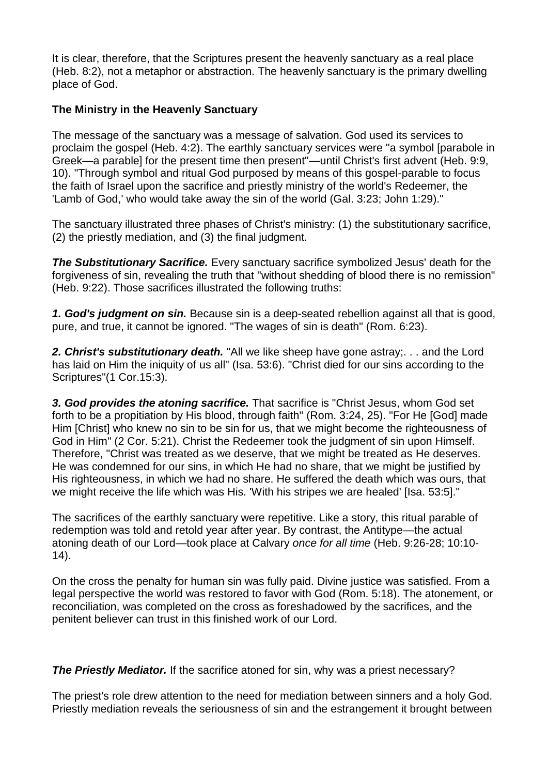It is clear, therefore, that the Scriptures present the heavenly sanctuary as a real place (Heb. 8:2), not a metaphor or abstraction. The heavenly sanctuary is the primary dwelling place of God.

### **The Ministry in the Heavenly Sanctuary**

The message of the sanctuary was a message of salvation. God used its services to proclaim the gospel (Heb. 4:2). The earthly sanctuary services were "a symbol [parabole in Greek—a parable] for the present time then present"—until Christ's first advent (Heb. 9:9, 10). "Through symbol and ritual God purposed by means of this gospel-parable to focus the faith of Israel upon the sacrifice and priestly ministry of the world's Redeemer, the 'Lamb of God,' who would take away the sin of the world (Gal. 3:23; John 1:29)."

The sanctuary illustrated three phases of Christ's ministry: (1) the substitutionary sacrifice, (2) the priestly mediation, and (3) the final judgment.

*The Substitutionary Sacrifice.* Every sanctuary sacrifice symbolized Jesus' death for the forgiveness of sin, revealing the truth that "without shedding of blood there is no remission" (Heb. 9:22). Those sacrifices illustrated the following truths:

*1. God's judgment on sin.* Because sin is a deep-seated rebellion against all that is good, pure, and true, it cannot be ignored. "The wages of sin is death" (Rom. 6:23).

*2. Christ's substitutionary death.* "All we like sheep have gone astray;. . . and the Lord has laid on Him the iniquity of us all" (Isa. 53:6). "Christ died for our sins according to the Scriptures"(1 Cor.15:3).

*3. God provides the atoning sacrifice.* That sacrifice is "Christ Jesus, whom God set forth to be a propitiation by His blood, through faith" (Rom. 3:24, 25). "For He [God] made Him [Christ] who knew no sin to be sin for us, that we might become the righteousness of God in Him" (2 Cor. 5:21). Christ the Redeemer took the judgment of sin upon Himself. Therefore, "Christ was treated as we deserve, that we might be treated as He deserves. He was condemned for our sins, in which He had no share, that we might be justified by His righteousness, in which we had no share. He suffered the death which was ours, that we might receive the life which was His. 'With his stripes we are healed' [Isa. 53:5]."

The sacrifices of the earthly sanctuary were repetitive. Like a story, this ritual parable of redemption was told and retold year after year. By contrast, the Antitype—the actual atoning death of our Lord—took place at Calvary *once for all time* (Heb. 9:26-28; 10:10- 14).

On the cross the penalty for human sin was fully paid. Divine justice was satisfied. From a legal perspective the world was restored to favor with God (Rom. 5:18). The atonement, or reconciliation, was completed on the cross as foreshadowed by the sacrifices, and the penitent believer can trust in this finished work of our Lord.

**The Priestly Mediator.** If the sacrifice atoned for sin, why was a priest necessary?

The priest's role drew attention to the need for mediation between sinners and a holy God. Priestly mediation reveals the seriousness of sin and the estrangement it brought between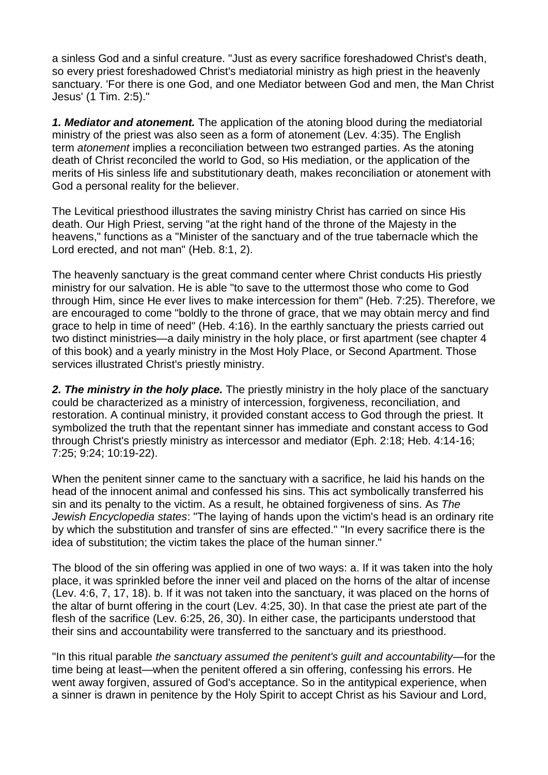a sinless God and a sinful creature. "Just as every sacrifice foreshadowed Christ's death, so every priest foreshadowed Christ's mediatorial ministry as high priest in the heavenly sanctuary. 'For there is one God, and one Mediator between God and men, the Man Christ Jesus' (1 Tim. 2:5)."

*1. Mediator and atonement.* The application of the atoning blood during the mediatorial ministry of the priest was also seen as a form of atonement (Lev. 4:35). The English term *atonement* implies a reconciliation between two estranged parties. As the atoning death of Christ reconciled the world to God, so His mediation, or the application of the merits of His sinless life and substitutionary death, makes reconciliation or atonement with God a personal reality for the believer.

The Levitical priesthood illustrates the saving ministry Christ has carried on since His death. Our High Priest, serving "at the right hand of the throne of the Majesty in the heavens," functions as a "Minister of the sanctuary and of the true tabernacle which the Lord erected, and not man" (Heb. 8:1, 2).

The heavenly sanctuary is the great command center where Christ conducts His priestly ministry for our salvation. He is able "to save to the uttermost those who come to God through Him, since He ever lives to make intercession for them" (Heb. 7:25). Therefore, we are encouraged to come "boldly to the throne of grace, that we may obtain mercy and find grace to help in time of need" (Heb. 4:16). In the earthly sanctuary the priests carried out two distinct ministries—a daily ministry in the holy place, or first apartment (see chapter 4 of this book) and a yearly ministry in the Most Holy Place, or Second Apartment. Those services illustrated Christ's priestly ministry.

*2. The ministry in the holy place.* The priestly ministry in the holy place of the sanctuary could be characterized as a ministry of intercession, forgiveness, reconciliation, and restoration. A continual ministry, it provided constant access to God through the priest. It symbolized the truth that the repentant sinner has immediate and constant access to God through Christ's priestly ministry as intercessor and mediator (Eph. 2:18; Heb. 4:14-16; 7:25; 9:24; 10:19-22).

When the penitent sinner came to the sanctuary with a sacrifice, he laid his hands on the head of the innocent animal and confessed his sins. This act symbolically transferred his sin and its penalty to the victim. As a result, he obtained forgiveness of sins. As *The Jewish Encyclopedia states*: "The laying of hands upon the victim's head is an ordinary rite by which the substitution and transfer of sins are effected." "In every sacrifice there is the idea of substitution; the victim takes the place of the human sinner."

The blood of the sin offering was applied in one of two ways: a. If it was taken into the holy place, it was sprinkled before the inner veil and placed on the horns of the altar of incense (Lev. 4:6, 7, 17, 18). b. If it was not taken into the sanctuary, it was placed on the horns of the altar of burnt offering in the court (Lev. 4:25, 30). In that case the priest ate part of the flesh of the sacrifice (Lev. 6:25, 26, 30). In either case, the participants understood that their sins and accountability were transferred to the sanctuary and its priesthood.

"In this ritual parable *the sanctuary assumed the penitent's guilt and accountability*—for the time being at least—when the penitent offered a sin offering, confessing his errors. He went away forgiven, assured of God's acceptance. So in the antitypical experience, when a sinner is drawn in penitence by the Holy Spirit to accept Christ as his Saviour and Lord,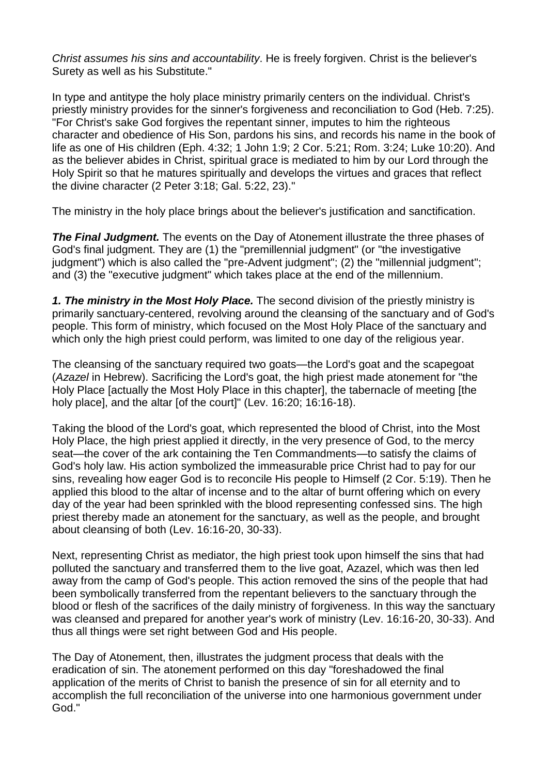*Christ assumes his sins and accountability*. He is freely forgiven. Christ is the believer's Surety as well as his Substitute."

In type and antitype the holy place ministry primarily centers on the individual. Christ's priestly ministry provides for the sinner's forgiveness and reconciliation to God (Heb. 7:25). "For Christ's sake God forgives the repentant sinner, imputes to him the righteous character and obedience of His Son, pardons his sins, and records his name in the book of life as one of His children (Eph. 4:32; 1 John 1:9; 2 Cor. 5:21; Rom. 3:24; Luke 10:20). And as the believer abides in Christ, spiritual grace is mediated to him by our Lord through the Holy Spirit so that he matures spiritually and develops the virtues and graces that reflect the divine character (2 Peter 3:18; Gal. 5:22, 23)."

The ministry in the holy place brings about the believer's justification and sanctification.

**The Final Judgment.** The events on the Day of Atonement illustrate the three phases of God's final judgment. They are (1) the "premillennial judgment" (or "the investigative judgment") which is also called the "pre-Advent judgment"; (2) the "millennial judgment"; and (3) the "executive judgment" which takes place at the end of the millennium.

*1. The ministry in the Most Holy Place.* The second division of the priestly ministry is primarily sanctuary-centered, revolving around the cleansing of the sanctuary and of God's people. This form of ministry, which focused on the Most Holy Place of the sanctuary and which only the high priest could perform, was limited to one day of the religious year.

The cleansing of the sanctuary required two goats—the Lord's goat and the scapegoat (*Azazel* in Hebrew). Sacrificing the Lord's goat, the high priest made atonement for "the Holy Place [actually the Most Holy Place in this chapter], the tabernacle of meeting [the holy place], and the altar [of the court]" (Lev. 16:20; 16:16-18).

Taking the blood of the Lord's goat, which represented the blood of Christ, into the Most Holy Place, the high priest applied it directly, in the very presence of God, to the mercy seat—the cover of the ark containing the Ten Commandments—to satisfy the claims of God's holy law. His action symbolized the immeasurable price Christ had to pay for our sins, revealing how eager God is to reconcile His people to Himself (2 Cor. 5:19). Then he applied this blood to the altar of incense and to the altar of burnt offering which on every day of the year had been sprinkled with the blood representing confessed sins. The high priest thereby made an atonement for the sanctuary, as well as the people, and brought about cleansing of both (Lev. 16:16-20, 30-33).

Next, representing Christ as mediator, the high priest took upon himself the sins that had polluted the sanctuary and transferred them to the live goat, Azazel, which was then led away from the camp of God's people. This action removed the sins of the people that had been symbolically transferred from the repentant believers to the sanctuary through the blood or flesh of the sacrifices of the daily ministry of forgiveness. In this way the sanctuary was cleansed and prepared for another year's work of ministry (Lev. 16:16-20, 30-33). And thus all things were set right between God and His people.

The Day of Atonement, then, illustrates the judgment process that deals with the eradication of sin. The atonement performed on this day "foreshadowed the final application of the merits of Christ to banish the presence of sin for all eternity and to accomplish the full reconciliation of the universe into one harmonious government under God."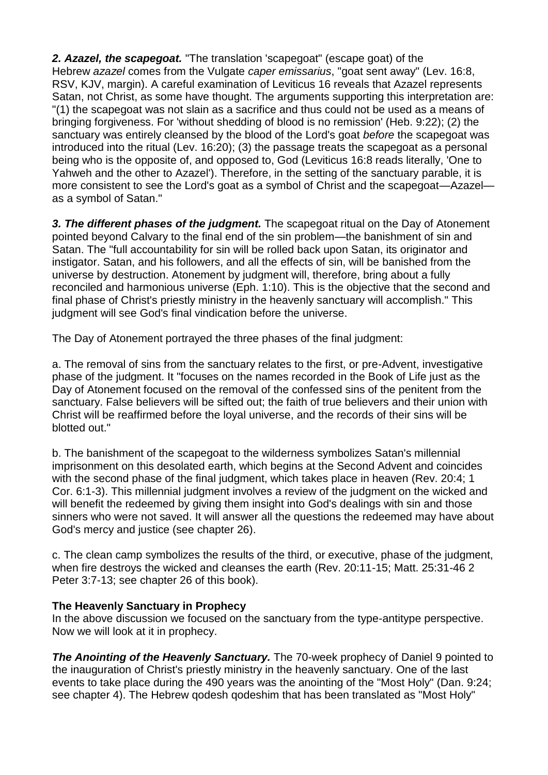*2. Azazel, the scapegoat.* "The translation 'scapegoat" (escape goat) of the Hebrew *azazel* comes from the Vulgate *caper emissarius*, "goat sent away" (Lev. 16:8, RSV, KJV, margin). A careful examination of Leviticus 16 reveals that Azazel represents Satan, not Christ, as some have thought. The arguments supporting this interpretation are: "(1) the scapegoat was not slain as a sacrifice and thus could not be used as a means of bringing forgiveness. For 'without shedding of blood is no remission' (Heb. 9:22); (2) the sanctuary was entirely cleansed by the blood of the Lord's goat *before* the scapegoat was introduced into the ritual (Lev. 16:20); (3) the passage treats the scapegoat as a personal being who is the opposite of, and opposed to, God (Leviticus 16:8 reads literally, 'One to Yahweh and the other to Azazel'). Therefore, in the setting of the sanctuary parable, it is more consistent to see the Lord's goat as a symbol of Christ and the scapegoat—Azazel as a symbol of Satan."

*3. The different phases of the judgment.* The scapegoat ritual on the Day of Atonement pointed beyond Calvary to the final end of the sin problem—the banishment of sin and Satan. The "full accountability for sin will be rolled back upon Satan, its originator and instigator. Satan, and his followers, and all the effects of sin, will be banished from the universe by destruction. Atonement by judgment will, therefore, bring about a fully reconciled and harmonious universe (Eph. 1:10). This is the objective that the second and final phase of Christ's priestly ministry in the heavenly sanctuary will accomplish." This judgment will see God's final vindication before the universe.

The Day of Atonement portrayed the three phases of the final judgment:

a. The removal of sins from the sanctuary relates to the first, or pre-Advent, investigative phase of the judgment. It "focuses on the names recorded in the Book of Life just as the Day of Atonement focused on the removal of the confessed sins of the penitent from the sanctuary. False believers will be sifted out; the faith of true believers and their union with Christ will be reaffirmed before the loyal universe, and the records of their sins will be blotted out."

b. The banishment of the scapegoat to the wilderness symbolizes Satan's millennial imprisonment on this desolated earth, which begins at the Second Advent and coincides with the second phase of the final judgment, which takes place in heaven (Rev. 20:4; 1) Cor. 6:1-3). This millennial judgment involves a review of the judgment on the wicked and will benefit the redeemed by giving them insight into God's dealings with sin and those sinners who were not saved. It will answer all the questions the redeemed may have about God's mercy and justice (see chapter 26).

c. The clean camp symbolizes the results of the third, or executive, phase of the judgment, when fire destroys the wicked and cleanses the earth (Rev. 20:11-15; Matt. 25:31-46 2 Peter 3:7-13; see chapter 26 of this book).

#### **The Heavenly Sanctuary in Prophecy**

In the above discussion we focused on the sanctuary from the type-antitype perspective. Now we will look at it in prophecy.

**The Anointing of the Heavenly Sanctuary.** The 70-week prophecy of Daniel 9 pointed to the inauguration of Christ's priestly ministry in the heavenly sanctuary. One of the last events to take place during the 490 years was the anointing of the "Most Holy" (Dan. 9:24; see chapter 4). The Hebrew qodesh qodeshim that has been translated as "Most Holy"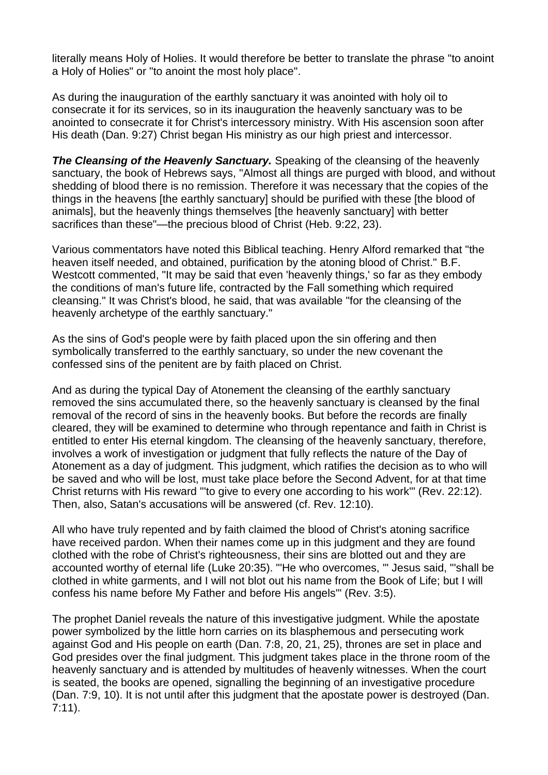literally means Holy of Holies. It would therefore be better to translate the phrase "to anoint a Holy of Holies" or "to anoint the most holy place".

As during the inauguration of the earthly sanctuary it was anointed with holy oil to consecrate it for its services, so in its inauguration the heavenly sanctuary was to be anointed to consecrate it for Christ's intercessory ministry. With His ascension soon after His death (Dan. 9:27) Christ began His ministry as our high priest and intercessor.

*The Cleansing of the Heavenly Sanctuary.* Speaking of the cleansing of the heavenly sanctuary, the book of Hebrews says, "Almost all things are purged with blood, and without shedding of blood there is no remission. Therefore it was necessary that the copies of the things in the heavens [the earthly sanctuary] should be purified with these [the blood of animals], but the heavenly things themselves [the heavenly sanctuary] with better sacrifices than these"—the precious blood of Christ (Heb. 9:22, 23).

Various commentators have noted this Biblical teaching. Henry Alford remarked that "the heaven itself needed, and obtained, purification by the atoning blood of Christ." B.F. Westcott commented, "It may be said that even 'heavenly things,' so far as they embody the conditions of man's future life, contracted by the Fall something which required cleansing." It was Christ's blood, he said, that was available "for the cleansing of the heavenly archetype of the earthly sanctuary."

As the sins of God's people were by faith placed upon the sin offering and then symbolically transferred to the earthly sanctuary, so under the new covenant the confessed sins of the penitent are by faith placed on Christ.

And as during the typical Day of Atonement the cleansing of the earthly sanctuary removed the sins accumulated there, so the heavenly sanctuary is cleansed by the final removal of the record of sins in the heavenly books. But before the records are finally cleared, they will be examined to determine who through repentance and faith in Christ is entitled to enter His eternal kingdom. The cleansing of the heavenly sanctuary, therefore, involves a work of investigation or judgment that fully reflects the nature of the Day of Atonement as a day of judgment. This judgment, which ratifies the decision as to who will be saved and who will be lost, must take place before the Second Advent, for at that time Christ returns with His reward "'to give to every one according to his work'" (Rev. 22:12). Then, also, Satan's accusations will be answered (cf. Rev. 12:10).

All who have truly repented and by faith claimed the blood of Christ's atoning sacrifice have received pardon. When their names come up in this judgment and they are found clothed with the robe of Christ's righteousness, their sins are blotted out and they are accounted worthy of eternal life (Luke 20:35). "'He who overcomes, '" Jesus said, "'shall be clothed in white garments, and I will not blot out his name from the Book of Life; but I will confess his name before My Father and before His angels'" (Rev. 3:5).

The prophet Daniel reveals the nature of this investigative judgment. While the apostate power symbolized by the little horn carries on its blasphemous and persecuting work against God and His people on earth (Dan. 7:8, 20, 21, 25), thrones are set in place and God presides over the final judgment. This judgment takes place in the throne room of the heavenly sanctuary and is attended by multitudes of heavenly witnesses. When the court is seated, the books are opened, signalling the beginning of an investigative procedure (Dan. 7:9, 10). It is not until after this judgment that the apostate power is destroyed (Dan. 7:11).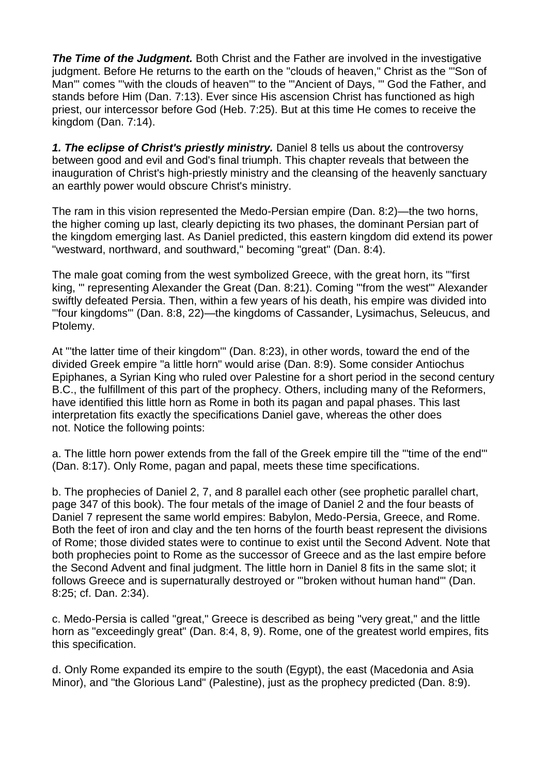**The Time of the Judament.** Both Christ and the Father are involved in the investigative judgment. Before He returns to the earth on the "clouds of heaven," Christ as the "'Son of Man'" comes "'with the clouds of heaven'" to the "'Ancient of Days, '" God the Father, and stands before Him (Dan. 7:13). Ever since His ascension Christ has functioned as high priest, our intercessor before God (Heb. 7:25). But at this time He comes to receive the kingdom (Dan. 7:14).

*1. The eclipse of Christ's priestly ministry.* Daniel 8 tells us about the controversy between good and evil and God's final triumph. This chapter reveals that between the inauguration of Christ's high-priestly ministry and the cleansing of the heavenly sanctuary an earthly power would obscure Christ's ministry.

The ram in this vision represented the Medo-Persian empire (Dan. 8:2)—the two horns, the higher coming up last, clearly depicting its two phases, the dominant Persian part of the kingdom emerging last. As Daniel predicted, this eastern kingdom did extend its power "westward, northward, and southward," becoming "great" (Dan. 8:4).

The male goat coming from the west symbolized Greece, with the great horn, its "'first king, '" representing Alexander the Great (Dan. 8:21). Coming "'from the west'" Alexander swiftly defeated Persia. Then, within a few years of his death, his empire was divided into "'four kingdoms'" (Dan. 8:8, 22)—the kingdoms of Cassander, Lysimachus, Seleucus, and Ptolemy.

At "'the latter time of their kingdom'" (Dan. 8:23), in other words, toward the end of the divided Greek empire "a little horn" would arise (Dan. 8:9). Some consider Antiochus Epiphanes, a Syrian King who ruled over Palestine for a short period in the second century B.C., the fulfillment of this part of the prophecy. Others, including many of the Reformers, have identified this little horn as Rome in both its pagan and papal phases. This last interpretation fits exactly the specifications Daniel gave, whereas the other does not. Notice the following points:

a. The little horn power extends from the fall of the Greek empire till the "'time of the end'" (Dan. 8:17). Only Rome, pagan and papal, meets these time specifications.

b. The prophecies of Daniel 2, 7, and 8 parallel each other (see prophetic parallel chart, page 347 of this book). The four metals of the image of Daniel 2 and the four beasts of Daniel 7 represent the same world empires: Babylon, Medo-Persia, Greece, and Rome. Both the feet of iron and clay and the ten horns of the fourth beast represent the divisions of Rome; those divided states were to continue to exist until the Second Advent. Note that both prophecies point to Rome as the successor of Greece and as the last empire before the Second Advent and final judgment. The little horn in Daniel 8 fits in the same slot; it follows Greece and is supernaturally destroyed or "'broken without human hand'" (Dan. 8:25; cf. Dan. 2:34).

c. Medo-Persia is called "great," Greece is described as being "very great," and the little horn as "exceedingly great" (Dan. 8:4, 8, 9). Rome, one of the greatest world empires, fits this specification.

d. Only Rome expanded its empire to the south (Egypt), the east (Macedonia and Asia Minor), and "the Glorious Land" (Palestine), just as the prophecy predicted (Dan. 8:9).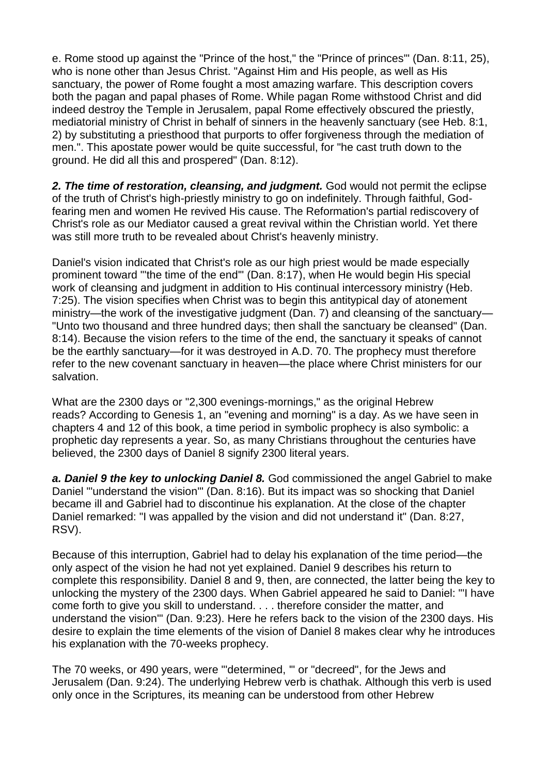e. Rome stood up against the "Prince of the host," the "Prince of princes'" (Dan. 8:11, 25), who is none other than Jesus Christ. "Against Him and His people, as well as His sanctuary, the power of Rome fought a most amazing warfare. This description covers both the pagan and papal phases of Rome. While pagan Rome withstood Christ and did indeed destroy the Temple in Jerusalem, papal Rome effectively obscured the priestly, mediatorial ministry of Christ in behalf of sinners in the heavenly sanctuary (see Heb. 8:1, 2) by substituting a priesthood that purports to offer forgiveness through the mediation of men.". This apostate power would be quite successful, for "he cast truth down to the ground. He did all this and prospered" (Dan. 8:12).

*2. The time of restoration, cleansing, and judgment.* God would not permit the eclipse of the truth of Christ's high-priestly ministry to go on indefinitely. Through faithful, Godfearing men and women He revived His cause. The Reformation's partial rediscovery of Christ's role as our Mediator caused a great revival within the Christian world. Yet there was still more truth to be revealed about Christ's heavenly ministry.

Daniel's vision indicated that Christ's role as our high priest would be made especially prominent toward "'the time of the end'" (Dan. 8:17), when He would begin His special work of cleansing and judgment in addition to His continual intercessory ministry (Heb. 7:25). The vision specifies when Christ was to begin this antitypical day of atonement ministry—the work of the investigative judgment (Dan. 7) and cleansing of the sanctuary— "Unto two thousand and three hundred days; then shall the sanctuary be cleansed" (Dan. 8:14). Because the vision refers to the time of the end, the sanctuary it speaks of cannot be the earthly sanctuary—for it was destroyed in A.D. 70. The prophecy must therefore refer to the new covenant sanctuary in heaven—the place where Christ ministers for our salvation.

What are the 2300 days or "2,300 evenings-mornings," as the original Hebrew reads? According to Genesis 1, an "evening and morning" is a day. As we have seen in chapters 4 and 12 of this book, a time period in symbolic prophecy is also symbolic: a prophetic day represents a year. So, as many Christians throughout the centuries have believed, the 2300 days of Daniel 8 signify 2300 literal years.

*a. Daniel 9 the key to unlocking Daniel 8.* God commissioned the angel Gabriel to make Daniel "'understand the vision'" (Dan. 8:16). But its impact was so shocking that Daniel became ill and Gabriel had to discontinue his explanation. At the close of the chapter Daniel remarked: "I was appalled by the vision and did not understand it" (Dan. 8:27, RSV).

Because of this interruption, Gabriel had to delay his explanation of the time period—the only aspect of the vision he had not yet explained. Daniel 9 describes his return to complete this responsibility. Daniel 8 and 9, then, are connected, the latter being the key to unlocking the mystery of the 2300 days. When Gabriel appeared he said to Daniel: "'I have come forth to give you skill to understand. . . . therefore consider the matter, and understand the vision'" (Dan. 9:23). Here he refers back to the vision of the 2300 days. His desire to explain the time elements of the vision of Daniel 8 makes clear why he introduces his explanation with the 70-weeks prophecy.

The 70 weeks, or 490 years, were "'determined, '" or "decreed", for the Jews and Jerusalem (Dan. 9:24). The underlying Hebrew verb is chathak. Although this verb is used only once in the Scriptures, its meaning can be understood from other Hebrew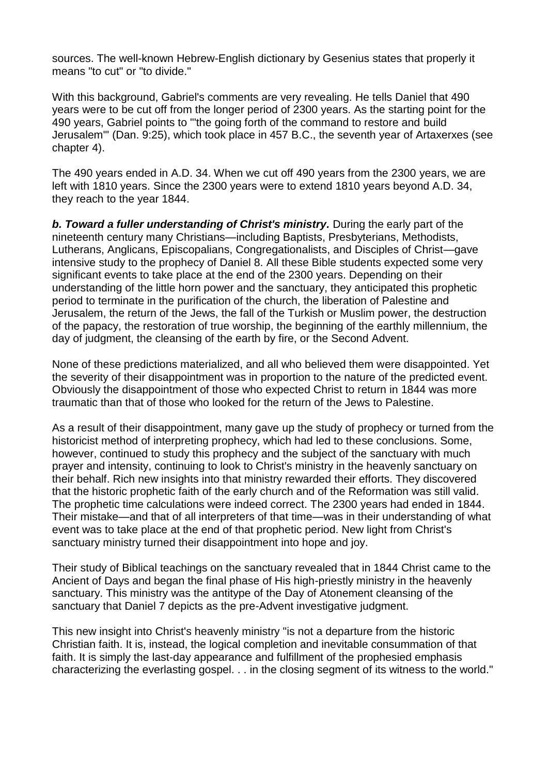sources. The well-known Hebrew-English dictionary by Gesenius states that properly it means "to cut" or "to divide."

With this background, Gabriel's comments are very revealing. He tells Daniel that 490 years were to be cut off from the longer period of 2300 years. As the starting point for the 490 years, Gabriel points to "'the going forth of the command to restore and build Jerusalem'" (Dan. 9:25), which took place in 457 B.C., the seventh year of Artaxerxes (see chapter 4).

The 490 years ended in A.D. 34. When we cut off 490 years from the 2300 years, we are left with 1810 years. Since the 2300 years were to extend 1810 years beyond A.D. 34, they reach to the year 1844.

*b. Toward a fuller understanding of Christ's ministry.* During the early part of the nineteenth century many Christians—including Baptists, Presbyterians, Methodists, Lutherans, Anglicans, Episcopalians, Congregationalists, and Disciples of Christ—gave intensive study to the prophecy of Daniel 8. All these Bible students expected some very significant events to take place at the end of the 2300 years. Depending on their understanding of the little horn power and the sanctuary, they anticipated this prophetic period to terminate in the purification of the church, the liberation of Palestine and Jerusalem, the return of the Jews, the fall of the Turkish or Muslim power, the destruction of the papacy, the restoration of true worship, the beginning of the earthly millennium, the day of judgment, the cleansing of the earth by fire, or the Second Advent.

None of these predictions materialized, and all who believed them were disappointed. Yet the severity of their disappointment was in proportion to the nature of the predicted event. Obviously the disappointment of those who expected Christ to return in 1844 was more traumatic than that of those who looked for the return of the Jews to Palestine.

As a result of their disappointment, many gave up the study of prophecy or turned from the historicist method of interpreting prophecy, which had led to these conclusions. Some, however, continued to study this prophecy and the subject of the sanctuary with much prayer and intensity, continuing to look to Christ's ministry in the heavenly sanctuary on their behalf. Rich new insights into that ministry rewarded their efforts. They discovered that the historic prophetic faith of the early church and of the Reformation was still valid. The prophetic time calculations were indeed correct. The 2300 years had ended in 1844. Their mistake—and that of all interpreters of that time—was in their understanding of what event was to take place at the end of that prophetic period. New light from Christ's sanctuary ministry turned their disappointment into hope and joy.

Their study of Biblical teachings on the sanctuary revealed that in 1844 Christ came to the Ancient of Days and began the final phase of His high-priestly ministry in the heavenly sanctuary. This ministry was the antitype of the Day of Atonement cleansing of the sanctuary that Daniel 7 depicts as the pre-Advent investigative judgment.

This new insight into Christ's heavenly ministry "is not a departure from the historic Christian faith. It is, instead, the logical completion and inevitable consummation of that faith. It is simply the last-day appearance and fulfillment of the prophesied emphasis characterizing the everlasting gospel. . . in the closing segment of its witness to the world."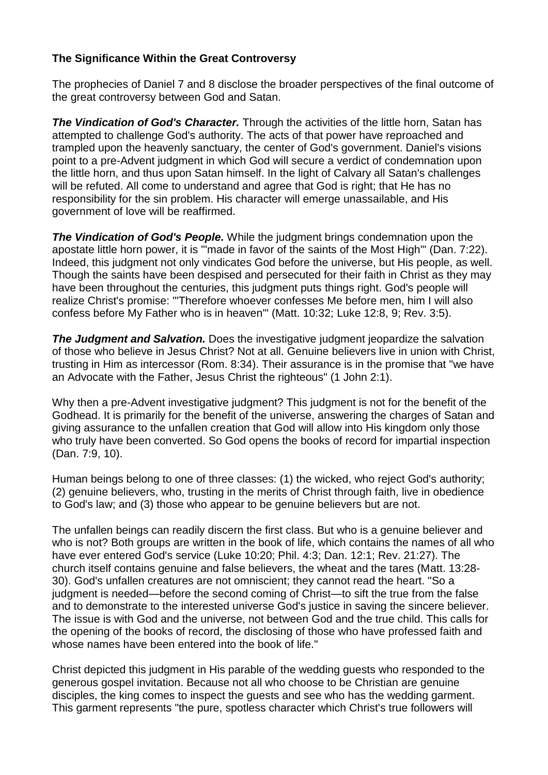## **The Significance Within the Great Controversy**

The prophecies of Daniel 7 and 8 disclose the broader perspectives of the final outcome of the great controversy between God and Satan.

*The Vindication of God's Character.* Through the activities of the little horn, Satan has attempted to challenge God's authority. The acts of that power have reproached and trampled upon the heavenly sanctuary, the center of God's government. Daniel's visions point to a pre-Advent judgment in which God will secure a verdict of condemnation upon the little horn, and thus upon Satan himself. In the light of Calvary all Satan's challenges will be refuted. All come to understand and agree that God is right; that He has no responsibility for the sin problem. His character will emerge unassailable, and His government of love will be reaffirmed.

*The Vindication of God's People.* While the judgment brings condemnation upon the apostate little horn power, it is "'made in favor of the saints of the Most High'" (Dan. 7:22). Indeed, this judgment not only vindicates God before the universe, but His people, as well. Though the saints have been despised and persecuted for their faith in Christ as they may have been throughout the centuries, this judgment puts things right. God's people will realize Christ's promise: "'Therefore whoever confesses Me before men, him I will also confess before My Father who is in heaven'" (Matt. 10:32; Luke 12:8, 9; Rev. 3:5).

**The Judgment and Salvation.** Does the investigative judgment jeopardize the salvation of those who believe in Jesus Christ? Not at all. Genuine believers live in union with Christ, trusting in Him as intercessor (Rom. 8:34). Their assurance is in the promise that "we have an Advocate with the Father, Jesus Christ the righteous" (1 John 2:1).

Why then a pre-Advent investigative judgment? This judgment is not for the benefit of the Godhead. It is primarily for the benefit of the universe, answering the charges of Satan and giving assurance to the unfallen creation that God will allow into His kingdom only those who truly have been converted. So God opens the books of record for impartial inspection (Dan. 7:9, 10).

Human beings belong to one of three classes: (1) the wicked, who reject God's authority; (2) genuine believers, who, trusting in the merits of Christ through faith, live in obedience to God's law; and (3) those who appear to be genuine believers but are not.

The unfallen beings can readily discern the first class. But who is a genuine believer and who is not? Both groups are written in the book of life, which contains the names of all who have ever entered God's service (Luke 10:20; Phil. 4:3; Dan. 12:1; Rev. 21:27). The church itself contains genuine and false believers, the wheat and the tares (Matt. 13:28- 30). God's unfallen creatures are not omniscient; they cannot read the heart. "So a judgment is needed—before the second coming of Christ—to sift the true from the false and to demonstrate to the interested universe God's justice in saving the sincere believer. The issue is with God and the universe, not between God and the true child. This calls for the opening of the books of record, the disclosing of those who have professed faith and whose names have been entered into the book of life."

Christ depicted this judgment in His parable of the wedding guests who responded to the generous gospel invitation. Because not all who choose to be Christian are genuine disciples, the king comes to inspect the guests and see who has the wedding garment. This garment represents "the pure, spotless character which Christ's true followers will